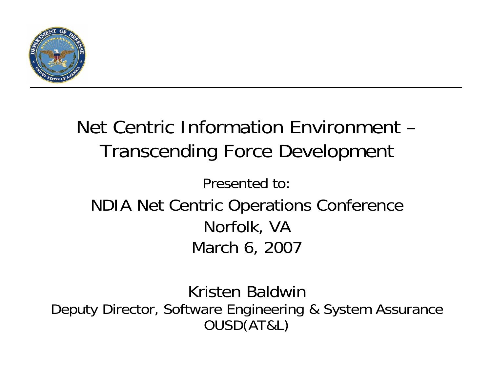

### Net Centric Information Environment –Transcending Force Development Presented to:NDIA Net Centric Operations Conference Norfolk, VA March 6, 2007

Kristen BaldwinDeputy Director, Software Engineering & System Assurance OUSD(AT&L)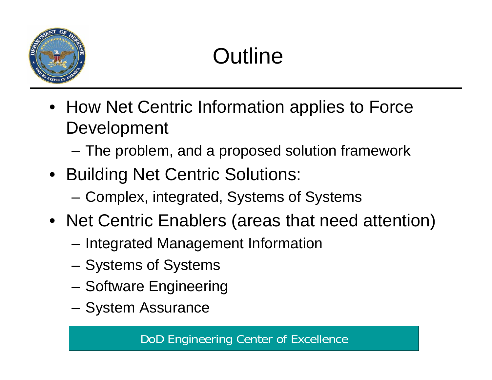

# **Outline**

- How Net Centric Information applies to Force **Development** 
	- and the state of the The problem, and a proposed solution framework
- Building Net Centric Solutions:
	- **Links of the Company** Complex, integrated, Systems of Systems
- Net Centric Enablers (areas that need attention)
	- –Integrated Management Information
	- –Systems of Systems
	- –Software Engineering
	- –System Assurance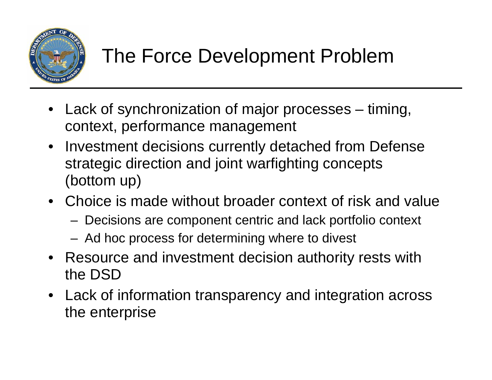

- Lack of synchronization of major processes timing, context, performance management
- Investment decisions currently detached from Defense strategic direction and joint warfighting concepts (bottom up)
- Choice is made without broader context of risk and value
	- Decisions are component centric and lack portfolio context
	- Ad hoc process for determining where to divest
- Resource and investment decision authority rests with the DSD
- Lack of information transparency and integration across the enterprise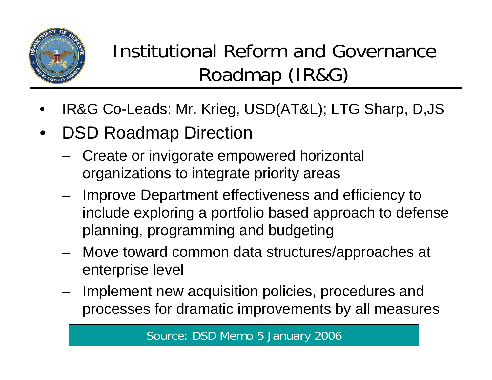

## Institutional Reform and Governance Roadmap (IR&G)

- •IR&G Co-Leads: Mr. Krieg, USD(AT&L); LTG Sharp, D,JS
- • DSD Roadmap Direction
	- Create or invigorate empowered horizontal organizations to integrate priority areas
	- – Improve Department effectiveness and efficiency to include exploring a portfolio based approach to defense planning, programming and budgeting
	- – Move toward common data structures/approaches at enterprise level
	- Implement new acquisition policies, procedures and processes for dramatic improvements by all measures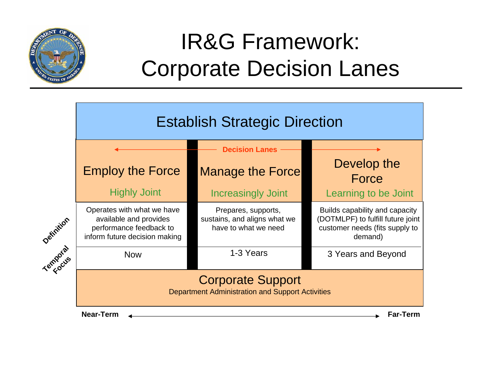

## IR&G Framework: Corporate Decision Lanes

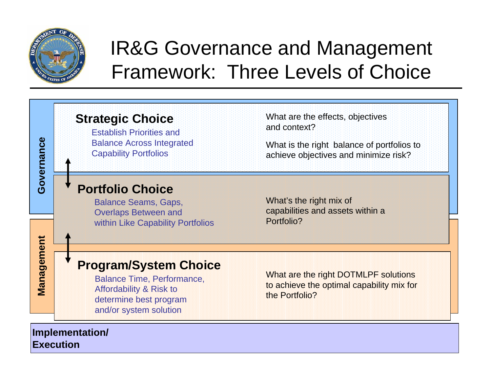

**Execution** 

### IR&G Governance and Management Framework: Three Levels of Choice

#### **Strategic Choice** What are the effects, objectives and context?Establish Priorities and **Governance**  Governance Balance Across Integrated What is the right balance of portfolios to Capability Portfolios achieve objectives and minimize risk? **Portfolio Choice**What's the right mix of Balance Seams, Gaps, capabilities and assets within a Overlaps Between and Portfolio? within Like Capability Portfolios **Management Choice**<br> **Management Choice**<br> **Management Choice**<br> **Management Choice**<br> **Management Choice**<br> **Management Choice**<br> **Management Choice**<br> **Management Choice**<br> **Management Choice**<br> **Management Choice**<br> **Management Program/System Choice**  What are the right DOTMLPF solutions Balance Time, Performance, to achieve the optimal capability mix for Affordability & Risk to determine best program and/or system solution **Implementation/**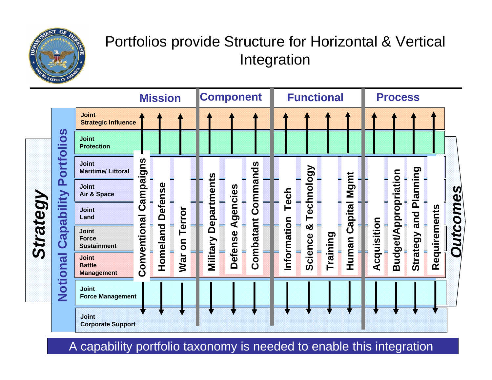

#### Portfolios provide Structure for Horizontal & Vertical Integration

|          |                                                                                                                                                                                                                                                                     |                                                    |                                          | <b>Mission</b>             |                                     |            | <b>Component</b> |                    |  |                     | <b>Functional</b>                   |          |                               |             | <b>Process</b>              |                         |              |         |
|----------|---------------------------------------------------------------------------------------------------------------------------------------------------------------------------------------------------------------------------------------------------------------------|----------------------------------------------------|------------------------------------------|----------------------------|-------------------------------------|------------|------------------|--------------------|--|---------------------|-------------------------------------|----------|-------------------------------|-------------|-----------------------------|-------------------------|--------------|---------|
| Strategy | $\boldsymbol{\omega}$<br>$\mathbf O$<br>Ě<br>$\overline{\mathbf{O}}$<br>ortf<br><u>n</u><br>ility<br>$\mathbf{\Omega}$<br>$\boldsymbol{\sigma}$<br><u>ର</u><br>$\boldsymbol{\sigma}$<br>$\mathbf C$<br>$\boldsymbol{\sigma}$<br>$\overline{\mathbf{O}}$<br>oti<br>Z | <b>Joint</b><br><b>Strategic Influence</b>         |                                          |                            |                                     |            |                  |                    |  |                     |                                     |          |                               |             |                             |                         |              |         |
|          |                                                                                                                                                                                                                                                                     | <b>Joint</b><br><b>Protection</b>                  |                                          |                            |                                     |            |                  |                    |  |                     |                                     |          |                               |             |                             |                         |              |         |
|          |                                                                                                                                                                                                                                                                     | <b>Joint</b><br><b>Maritime/Littoral</b>           | <b>S</b><br>Campaign<br>onventional<br>Õ | <b>Defense</b><br>Homeland | ▬<br>errol<br>۰.<br><b>S</b><br>War | epartments |                  |                    |  | Tech<br>Information | echnology<br>۰<br>▬<br>×<br>Science | Training | Mgmt<br>Capital<br>Human<br>⊐ | Acquisition | <b>Budget/Appropriation</b> | puinu                   | Requirements |         |
|          |                                                                                                                                                                                                                                                                     | <b>Joint</b><br>Air & Space                        |                                          |                            |                                     |            |                  | ommands            |  |                     |                                     |          |                               |             |                             | Plan<br>and<br>Strategy |              |         |
|          |                                                                                                                                                                                                                                                                     | <b>Joint</b><br>Land                               |                                          |                            |                                     |            |                  | Agencies<br>Ŭ<br>ĭ |  |                     |                                     |          |                               |             |                             |                         |              | utcomes |
|          |                                                                                                                                                                                                                                                                     | Joint<br><b>Force</b><br><b>Sustainment</b>        |                                          |                            |                                     | ≏          | <b>Defense</b>   | ombata             |  |                     |                                     |          |                               |             |                             |                         |              | ē.      |
|          |                                                                                                                                                                                                                                                                     | <b>Joint</b><br><b>Battle</b><br><b>Management</b> |                                          |                            |                                     | Military   |                  | Ŏ                  |  |                     |                                     |          |                               |             |                             |                         |              |         |
|          |                                                                                                                                                                                                                                                                     | Joint<br><b>Force Management</b>                   |                                          |                            |                                     |            |                  |                    |  |                     |                                     |          |                               |             |                             |                         |              |         |
|          |                                                                                                                                                                                                                                                                     | <b>Joint</b><br><b>Corporate Support</b>           |                                          |                            |                                     |            |                  |                    |  |                     |                                     |          |                               |             |                             |                         |              |         |

A capability portfolio taxonomy is needed to enable this integration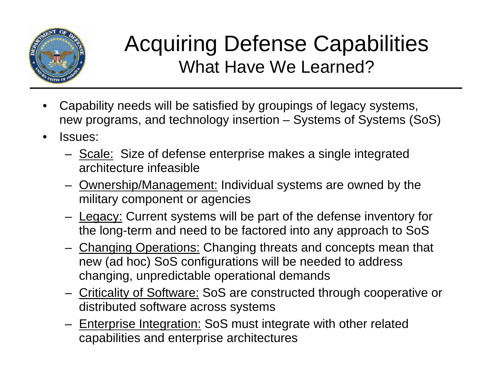

#### Acquiring Defense Capabilities What Have We Learned?

- • Capability needs will be satisfied by groupings of legacy systems, new programs, and technology insertion – Systems of Systems (SoS)
- • Issues:
	- Scale: Size of defense enterprise makes a single integrated architecture infeasible
	- Ownership/Management: Individual systems are owned by the military component or agencies
	- Legacy: Current systems will be part of the defense inventory for the long-term and need to be factored into any approach to SoS
	- Changing Operations: Changing threats and concepts mean that new (ad hoc) SoS configurations will be needed to address changing, unpredictable operational demands
	- Criticality of Software: SoS are constructed through cooperative or distributed software across systems
	- Enterprise Integration: SoS must integrate with other related capabilities and enterprise architectures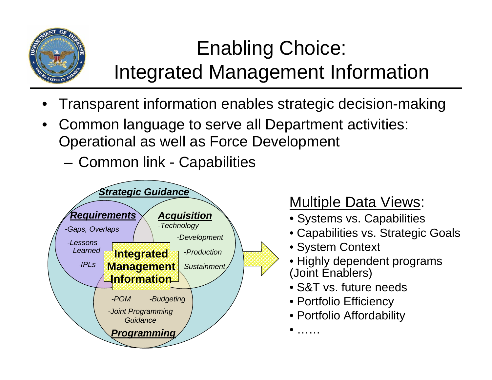

## Enabling Choice: Integrated Management Information

- •Transparent information enables strategic decision-making
- •Common language to serve all Department activities: Operational as well as Force Development
	- Common link Capabilities



#### Multiple Data Views:

- Systems vs. Capabilities
- Capabilities vs. Strategic Goals
- System Context
- Highly dependent programs (Joint Enablers)
- S&T vs. future needs
- Portfolio Efficiency

•

………

• Portfolio Affordability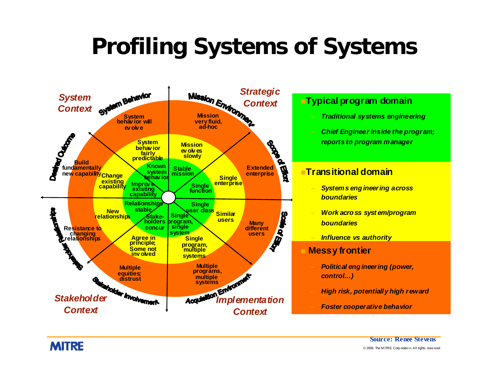# **Profiling Systems of Systems**

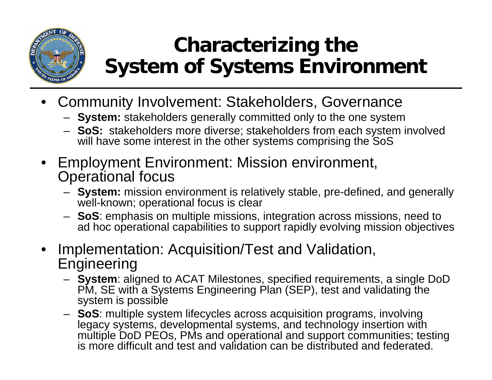

### **Characterizing the System of Systems Environment**

- Community Involvement: Stakeholders, Governance
	- **System:** stakeholders generally committed only to the one system
	- **SoS:** stakeholders more diverse; stakeholders from each system involved will have some interest in the other systems comprising the SoS
- Employment Environment: Mission environment, Operational focus
	- **System:** mission environment is relatively stable, pre-defined, and generally well-known; operational focus is clear
	- **SoS**: emphasis on multiple missions, integration across missions, need to ad hoc operational capabilities to support rapidly evolving mission objectives
- • Implementation: Acquisition/Test and Validation, Engineering
	- **System**: aligned to ACAT Milestones, specified requirements, a single DoD PM, SE with a Systems Engineering Plan (SEP), test and validating the system is possible
	- **SoS**: multiple system lifecycles across acquisition programs, involving legacy systems, developmental systems, and technology insertion with multiple DoD PEOs, PMs and operational and support communities; testing is more difficult and test and validation can be distributed and federated.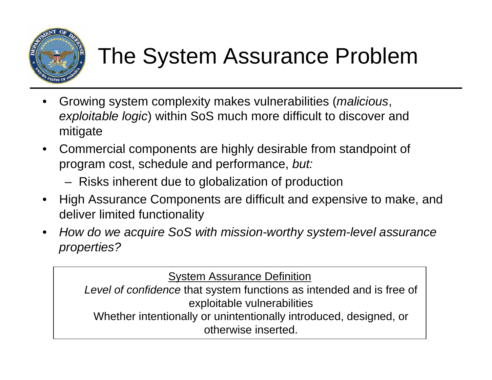

# The System Assurance Problem

- • Growing system complexity makes vulnerabilities (*malicious*, *exploitable logic*) within SoS much more difficult to discover and mitigate
- • Commercial components are highly desirable from standpoint of program cost, schedule and performance, *but:*
	- –Risks inherent due to globalization of production
- • High Assurance Components are difficult and expensive to make, and deliver limited functionality
- • *How do we acquire SoS with mission-worthy system-level assurance properties?*

**System Assurance Definition** 

*Level of confidence* that system functions as intended and is free of exploitable vulnerabilities

Whether intentionally or unintentionally introduced, designed, or otherwise inserted.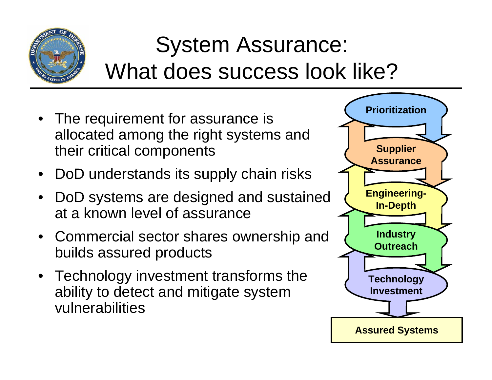

# System Assurance: What does success look like?

- The requirement for assurance is allocated among the right systems and their critical components
- DoD understands its supply chain risks
- DoD systems are designed and sustained at a known level of assurance
- Commercial sector shares ownership and builds assured products
- Technology investment transforms the ability to detect and mitigate system vulnerabilities

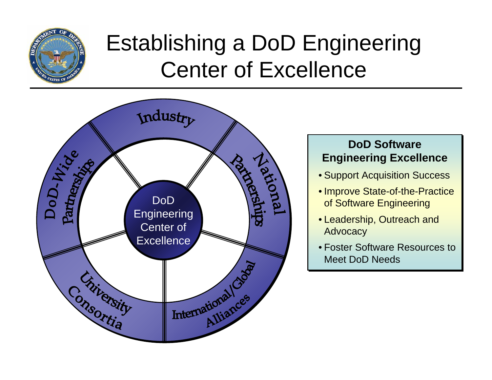

## Establishing a DoD Engineering Center of Excellence



#### **DoD Software Engineering Excellence Engineering Excellence**

- Support Acquisition Success Support Acquisition Success
- Improve State-of-the-Practice Improve State-of-the-Practice of Software Engineering of Software Engineering
- Leadership, Outreach and Leadership, Outreach and Advocacy Advocacy
- Foster Software Resources to Foster Software Resources to Meet DoD Needs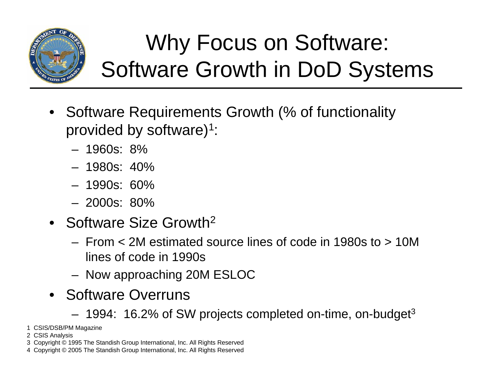

# Why Focus on Software: Software Growth in DoD Systems

- Software Requirements Growth (% of functionality provided by software)1:
	- 1960s: 8%
	- 1980s: 40%
	- 1990s: 60%
	- 2000s: 80%
- Software Size Growth 2
	- From < 2M estimated source lines of code in 1980s to > 10M lines of code in 1990s
	- Now approaching 20M ESLOC
- Software Overruns
	- 1994: 16.2% of SW projects completed on-time, on-budget<sup>3</sup>
- 1 CSIS/DSB/PM Magazine
- –2 CSIS Analysis
- 2005: 50% of SW projects still late, over budgets still late, over budgets still late, over budgets still late<br>, over budgets still late, over budgets still late, over budgets still late, over budgets still late, over budg 3 Copyright © 1995 The Standish Group International, Inc. All Rights Reserved
- 4 Copyright © 2005 The Standish Group International, Inc. All Rights Reserved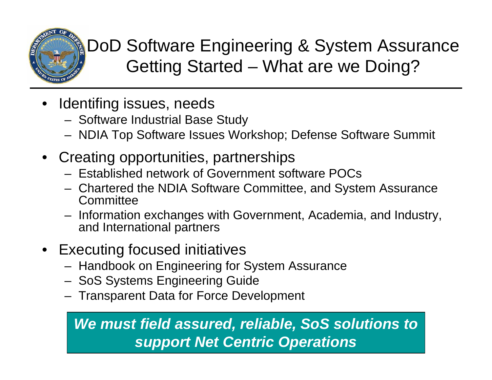

#### DoD Software Engineering & System Assurance Getting Started – What are we Doing?

- • Identifing issues, needs
	- Software Industrial Base Study
	- NDIA Top Software Issues Workshop; Defense Software Summit
- Creating opportunities, partnerships
	- Established network of Government software POCs
	- Chartered the NDIA Software Committee, and System Assurance **Committee**
	- Information exchanges with Government, Academia, and Industry, and International partners
- Executing focused initiatives
	- Handbook on Engineering for System Assurance
	- SoS Systems Engineering Guide
	- Transparent Data for Force Development

#### *We must field assured, reliable, SoS solutions to support Net Centric Operations*